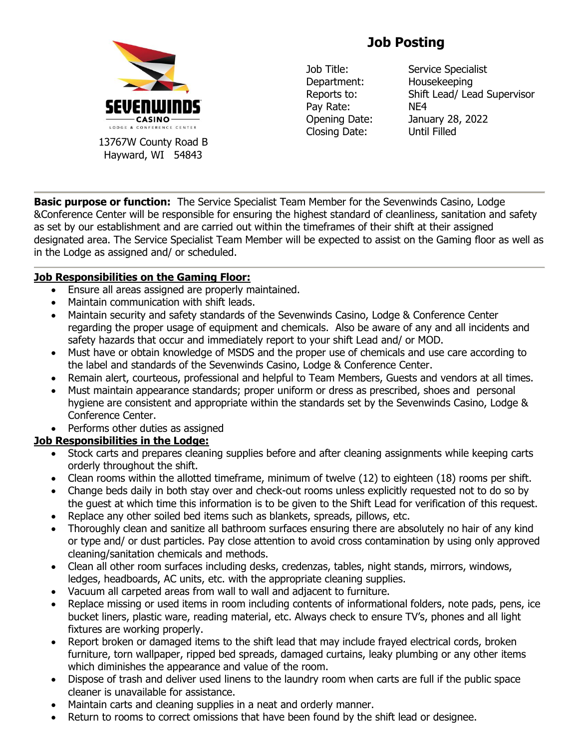

13767W County Road B Hayward, WI 54843

# **Job Posting**

Department: Housekeeping Pay Rate: NE4 Closing Date: Until Filled

Job Title: Service Specialist Reports to: Shift Lead/ Lead Supervisor Opening Date: January 28, 2022

**Basic purpose or function:** The Service Specialist Team Member for the Sevenwinds Casino, Lodge &Conference Center will be responsible for ensuring the highest standard of cleanliness, sanitation and safety as set by our establishment and are carried out within the timeframes of their shift at their assigned designated area. The Service Specialist Team Member will be expected to assist on the Gaming floor as well as in the Lodge as assigned and/ or scheduled.

## **Job Responsibilities on the Gaming Floor:**

- Ensure all areas assigned are properly maintained.
- Maintain communication with shift leads.
- Maintain security and safety standards of the Sevenwinds Casino, Lodge & Conference Center regarding the proper usage of equipment and chemicals. Also be aware of any and all incidents and safety hazards that occur and immediately report to your shift Lead and/ or MOD.
- Must have or obtain knowledge of MSDS and the proper use of chemicals and use care according to the label and standards of the Sevenwinds Casino, Lodge & Conference Center.
- Remain alert, courteous, professional and helpful to Team Members, Guests and vendors at all times.
- Must maintain appearance standards; proper uniform or dress as prescribed, shoes and personal hygiene are consistent and appropriate within the standards set by the Sevenwinds Casino, Lodge & Conference Center.
- Performs other duties as assigned

## **Job Responsibilities in the Lodge:**

- Stock carts and prepares cleaning supplies before and after cleaning assignments while keeping carts orderly throughout the shift.
- Clean rooms within the allotted timeframe, minimum of twelve (12) to eighteen (18) rooms per shift.
- Change beds daily in both stay over and check-out rooms unless explicitly requested not to do so by the guest at which time this information is to be given to the Shift Lead for verification of this request.
- Replace any other soiled bed items such as blankets, spreads, pillows, etc.
- Thoroughly clean and sanitize all bathroom surfaces ensuring there are absolutely no hair of any kind or type and/ or dust particles. Pay close attention to avoid cross contamination by using only approved cleaning/sanitation chemicals and methods.
- Clean all other room surfaces including desks, credenzas, tables, night stands, mirrors, windows, ledges, headboards, AC units, etc. with the appropriate cleaning supplies.
- Vacuum all carpeted areas from wall to wall and adjacent to furniture.
- Replace missing or used items in room including contents of informational folders, note pads, pens, ice bucket liners, plastic ware, reading material, etc. Always check to ensure TV's, phones and all light fixtures are working properly.
- Report broken or damaged items to the shift lead that may include frayed electrical cords, broken furniture, torn wallpaper, ripped bed spreads, damaged curtains, leaky plumbing or any other items which diminishes the appearance and value of the room.
- Dispose of trash and deliver used linens to the laundry room when carts are full if the public space cleaner is unavailable for assistance.
- Maintain carts and cleaning supplies in a neat and orderly manner.
- Return to rooms to correct omissions that have been found by the shift lead or designee.